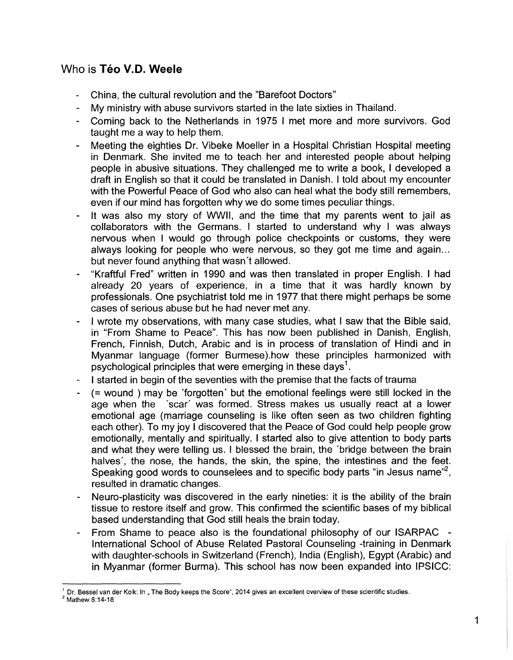# Who is **Teo V.D. Weele**

- China, the cultural revolution and the "Barefoot Doctors"
- My ministry with abuse survivors started in the late sixties in Thailand.
- Coming back to the Netherlands in 1975 I met more and more survivors. God taught me a way to help them.
- Meeting the eighties Dr. Vibeke Moeller in a Hospital Christian Hospital meeting in Denmark. She invited me to teach her and interested people about helping people in abusive situations. They challenged me to write a book, I developed a draft in English so that it could be translated in Danish. I told about my encounter with the Powerful Peace of God who also can heal what the body still remembers, even if our mind has forgotten why we do some times peculiar things.
- It was also my story of WWII, and the time that my parents went to jail as collaborators with the Germans. I started to understand why I was always nervous when I would go through police checkpoints or customs, they were always looking for people who were nervous, so they got me time and again... but never found anything that wasn't allowed.
- "Kraftful Fred" written in 1990 and was then translated in proper English. I had already 20 years of experience, in a time that it was hardly known by professionals. One psychiatrist told me in 1977 that there might perhaps be some cases of serious abuse but he had never met any.
- I wrote my observations, with many case studies, what I saw that the Bible said, in "From Shame to Peace". This has now been published in Danish, English, French, Finnish, Dutch, Arabic and is in process of translation of Hindi and in Myanmar language (former Burmese).how these principles harmonized with psychological principles that were emerging in these days<sup>1</sup>.
- I started in begin of the seventies with the premise that the facts of trauma
- (= wound) may be 'forgotten' but the emotional feelings were still locked in the age when the 'scar' was formed. Stress makes us usually react at a lower emotional age (marriage counseling is like often seen as two children fighting each other). To my joy I discovered that the Peace of God could help people grow emotionally, mentally and spiritually. I started also to give attention to body parts and what they were telling us. I blessed the brain, the 'bridge between the brain halves', the nose, the hands, the skin, the spine, the intestines and the feet. Speaking good words to counselees and to specific body parts "in Jesus name", resulted in dramatic changes.
- Neuro-plasticity was discovered in the early nineties: it is the ability of the brain tissue to restore itself and grow. This confirmed the scientific bases of my biblical based understanding that God still heals the brain today.
- From Shame to peace also is the foundational philosophy of our ISARPAC International School of Abuse Related Pastoral Counseling -training in Denmark with daughter-schools in Switzerland (French), India (English), Egypt (Arabic) and in Myanmar (former Burma). This school has now been expanded into IPSICC:

Dr. Bessel van der Kolk: In "The Body keeps the Score", 2014 gives an excellent overview of these scientific studies.

<sup>2</sup> Mathew 8:14-18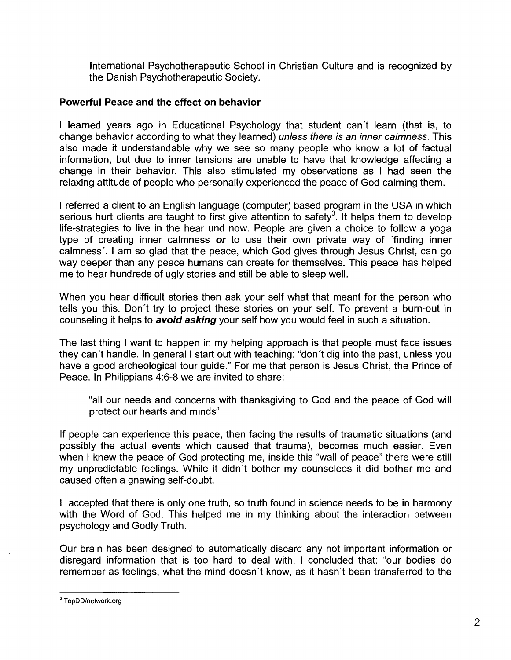International Psychotherapeutic School in Christian Culture and is recognized by the Danish Psychotherapeutic Society.

## **Powerful Peace and the effect on behavior**

I learned years ago in Educational Psychology that student can't learn (that is, to change behavior according to what they learned) unless there is an inner calmness. This also made it understandable why we see so many people who know a lot of factual information, but due to inner tensions are unable to have that knowledge affecting a change in their behavior. This also stimulated my observations as I had seen the relaxing attitude of people who personally experienced the peace of God calming them.

I referred a client to an English language (computer) based program in the USA in which serious hurt clients are taught to first give attention to safety<sup>3</sup>. It helps them to develop life-strategies to live in the hear und now. People are given a choice to follow a yoga type of creating inner calmness *or* to use their own private way of 'finding inner calmness'. I am so glad that the peace, which God gives through Jesus Christ, can go way deeper than any peace humans can create for themselves. This peace has helped me to hear hundreds of ugly stories and still be able to sleep well.

When you hear difficult stories then ask your self what that meant for the person who tells you this. Don't try to project these stories on your self. To prevent a burn-out in counseling it helps to **avoid asking** your self how you would feel in such a situation.

The last thing I want to happen in my helping approach is that people must face issues they can't handle. In general I start out with teaching: "don't dig into the past, unless you have a good archeological tour guide." For me that person is Jesus Christ, the Prince of Peace. In Philippians 4:6-8 we are invited to share:

"all our needs and concerns with thanksgiving to God and the peace of God will protect our hearts and minds".

If people can experience this peace, then facing the results of traumatic situations (and possibly the actual events which caused that trauma), becomes much easier. Even when I knew the peace of God protecting me, inside this "wall of peace" there were still my unpredictable feelings. While it didn't bother my counselees it did bother me and caused often a gnawing self-doubt.

I accepted that there is only one truth, so truth found in science needs to be in harmony with the Word of God. This helped me in my thinking about the interaction between psychology and Godly Truth.

Our brain has been designed to automatically discard any not important information or disregard information that is too hard to deal with. I concluded that: "our bodies do remember as feelings, what the mind doesn't know, as it hasn't been transferred to the

<sup>&</sup>lt;sup>3</sup>TopDD/network.org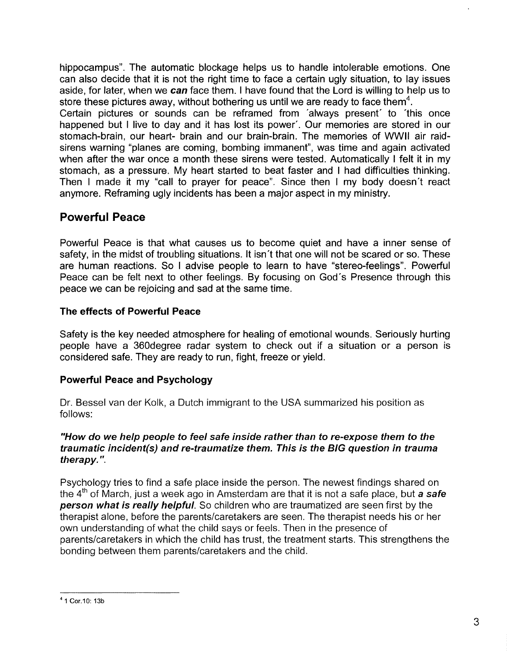hippocampus". The automatic blockage helps us to handle intolerable emotions. One can also decide that it is not the right time to face a certain ugly situation, to lay issues aside, for later, when we can face them. I have found that the Lord is willing to help us to store these pictures away, without bothering us until we are ready to face them<sup>4</sup>.

Certain pictures or sounds can be reframed from 'always present' to 'this once happened but I live to day and it has lost its power'. Our memories are stored in our stomach-brain, our heart- brain and our brain-brain. The memories of WWII air raidsirens warning "planes are coming, bombing immanent", was time and again activated when after the war once a month these sirens were tested. Automatically I felt it in my stomach, as a pressure. My heart started to beat faster and I had difficulties thinking. Then I made it my "call to prayer for peace". Since then I my body doesn't react anymore. Reframing ugly incidents has been a major aspect in my ministry.

# Powerful Peace

Powerful Peace is that what causes us to become quiet and have a inner sense of safety, in the midst of troubling situations. It isn't that one will not be scared or so. These are human reactions. So I advise people to learn to have "stereo-feelings". Powerful Peace can be felt next to other feelings. By focusing on God's Presence through this peace we can be rejoicing and sad at the same time.

# The effects of Powerful Peace

Safety is the key needed atmosphere for healing of emotional wounds. Seriously hurting people have a 360degree radar system to check out if a situation or a person is considered safe. They are ready to run, fight, freeze or yield.

# Powerful Peace and Psychology

Dr. Bessel van der Kolk, a Dutch immigrant to the USA summarized his position as follows:

### "How do we help people to feel safe inside rather than to re-expose them to the traumatic incident(s) and re-traumatize them. This is the BIG question in trauma therapy. ".

Psychology tries to find a safe place inside the person. The newest findings shared on the  $4<sup>th</sup>$  of March, just a week ago in Amsterdam are that it is not a safe place, but a safe person what is really helpful. So children who are traumatized are seen first by the therapist alone, before the parents/caretakers are seen. The therapist needs his or her own understanding of what the child says or feels. Then in the presence of parents/caretakers in which the child has trust, the treatment starts. This strengthens the bonding between them parents/caretakers and the child.

<sup>41</sup> Cor.10: 13b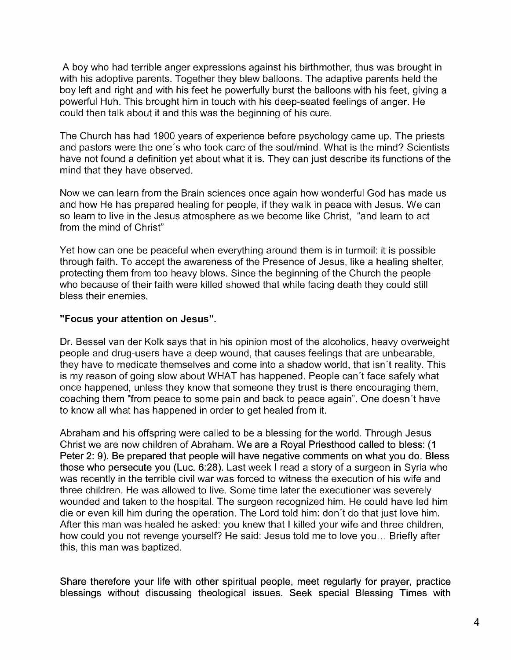A boy who had terrible anger expressions against his birthmother, thus was brought in with his adoptive parents. Together they blew balloons. The adaptive parents held the boy left and right and with his feet he powerfully burst the balloons with his feet, giving a powerful Huh. This brought him in touch with his deep-seated feelings of anger. He could then talk about it and this was the beginning of his cure.

The Church has had 1900 years of experience before psychology came up. The priests and pastors were the one's who took care of the soul/mind. What is the mind? Scientists have not found a definition yet about what it is. They can just describe its functions of the mind that they have observed.

Now we can learn from the Brain sciences once again how wonderful God has made us and how He has prepared healing for people, if they walk in peace with Jesus. We can so learn to live in the Jesus atmosphere as we become like Christ, "and learn to act from the mind of Christ"

Yet how can one be peaceful when everything around them is in turmoil: it is possible through faith. To accept the awareness of the Presence of Jesus, like a healing shelter, protecting them from too heavy blows. Since the beginning of the Church the people who because of their faith were killed showed that while facing death they could still bless their enemies.

## **"Focus** your **attention on Jesus".**

Dr. Bessel van der Kolk says that in his opinion most of the alcoholics, heavy overweight people and drug-users have a deep wound, that causes feelings that are unbearable, they have to medicate themselves and come into a shadow world, that isn't reality. This is my reason of going slow about WHAT has happened. People can't face safely what once happened, unless they know that someone they trust is there encouraging them, coaching them "from peace to some pain and back to peace again". One doesn't have to know all what has happened in order to get healed from it.

Abraham and his offspring were called to be a blessing for the world. Through Jesus Christ we are now children of Abraham. We are a Royal Priesthood called to bless: (1 Peter 2: 9). Be prepared that people will have negative comments on what you do. Bless those who persecute you (Luc. 6:28). Last week I read a story of a surgeon in Syria who was recently in the terrible civil war was forced to witness the execution of his wife and three children. He was allowed to live. Some time later the executioner was severely wounded and taken to the hospital. The surgeon recognized him. He could have led him die or even kill him during the operation. The Lord told him: don't do that just love him. After this man was healed he asked: you knew that I killed your wife and three children, how could you not revenge yourself? He said: Jesus told me to love you ... Briefly after this, this man was baptized.

Share therefore your life with other spiritual people, meet regularly for prayer, practice blessings without discussing theological issues. Seek special Blessing Times with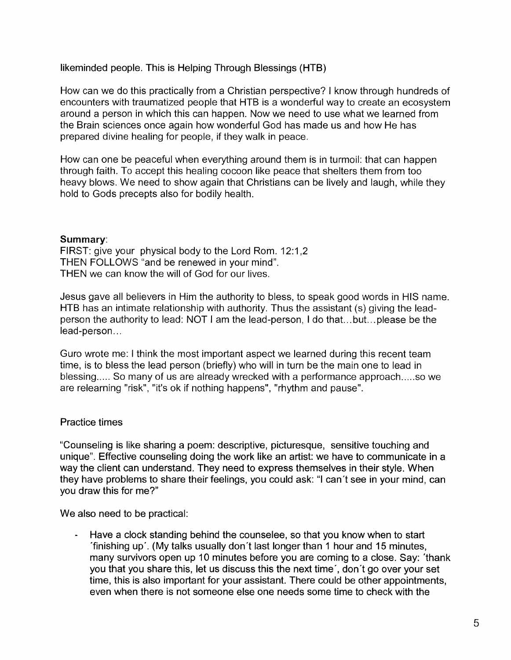likeminded people. This is Helping Through Blessings (HTB)

How can we do this practically from a Christian perspective? I know through hundreds of encounters with traumatized people that HTB is a wonderful way to create an ecosystem around a person in which this can happen. Now we need to use what we learned from the Brain sciences once again how wonderful God has made us and how He has prepared divine healing for people, if they walk in peace.

How can one be peaceful when everything around them is in turmoil: that can happen through faith. To accept this healing cocoon like peace that shelters them from too heavy blows. We need to show again that Christians can be lively and laugh, while they hold to Gods precepts also for bodily health.

## Summary:

FIRST: give your physical body to the Lord Rom. 12:1,2 THEN FOLLOWS "and be renewed in your mind". THEN we can know the will of God for our lives.

Jesus gave all believers in Him the authority to bless, to speak good words in HIS name. HTB has an intimate relationship with authority. Thus the assistant (s) giving the leadperson the authority to lead: NOT I am the lead-person, I do that. .. but... please be the lead-person...

Guro wrote me: I think the most important aspect we learned during this recent team time, is to bless the lead person (briefly) who will in turn be the main one to lead in blessing..... So many of us are already wrecked with a performance approach.....so we are relearning "risk", "it's ok if nothing happens", "rhythm and pause".

# Practice times

"Counseling is like sharing a poem: descriptive, picturesque, sensitive touching and unique". Effective counseling doing the work like an artist: we have to communicate in a way the client can understand. They need to express themselves in their style. When they have problems to share their feelings, you could ask: "I can't see in your mind, can you draw this for me?"

We also need to be practical:

Have a clock standing behind the counselee, so that you know when to start 'finishing up'. (My talks usually don't last longer than 1 hour and 15 minutes, many survivors open up 10 minutes before you are coming to a close. Say: 'thank you that you share this, let us discuss this the next time', don't go over your set time, this is also important for your assistant. There could be other appointments, even when there is not someone else one needs some time to check with the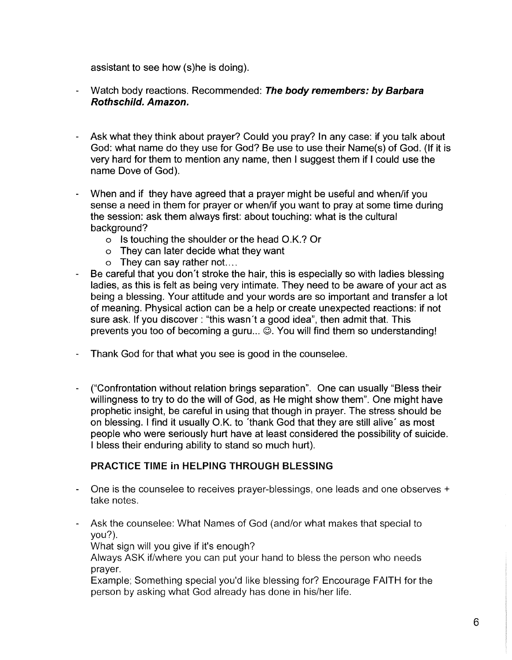assistant to see how (s)he is doing).

- Watch body reactions. Recommended: The body remembers: by Barbara Rothschild. Amazon.
- Ask what they think about prayer? Could you pray? In any case: if you talk about God: what name do they use for God? Be use to use their Name(s) of God. (If it is very hard for them to mention any name, then I suggest them if I could use the name Dove of God).
- When and if they have agreed that a prayer might be useful and when/if you sense a need in them for prayer or when/if you want to pray at some time during the session: ask them always first: about touching: what is the cultural background?
	- o Is touching the shoulder or the head O.K.? Or
	- o They can later decide what they want
	- o They can say rather not. ...
- Be careful that you don't stroke the hair, this is especially so with ladies blessing ladies, as this is felt as being very intimate. They need to be aware of your act as being a blessing. Your attitude and your words are so important and transfer a lot of meaning. Physical action can be a help or create unexpected reactions: if not sure ask. If you discover: "this wasn't a good idea", then admit that. This prevents you too of becoming a guru...  $\widetilde{\otimes}$ . You will find them so understanding!
- Thank God for that what you see is good in the counselee.
- ("Confrontation without relation brings separation". One can usually "Bless their willingness to try to do the will of God, as He might show them". One might have prophetic insight, be careful in using that though in prayer. The stress should be on blessing. I find it usually O.K. to 'thank God that they are still alive' as most people who were seriously hurt have at least considered the possibility of suicide. I bless their enduring ability to stand so much hurt).

### PRACTICE TIME in HELPING THROUGH BLESSING

- One is the counselee to receives prayer-blessings, one leads and one observes + take notes.
- Ask the counselee: What Names of God (and/or what makes that special to you?).

What sign will you give if it's enough?

Always ASK if/where you can put your hand to bless the person who needs prayer.

Example; Something special you'd like blessing for? Encourage FAITH for the person by asking what God already has done in his/her life.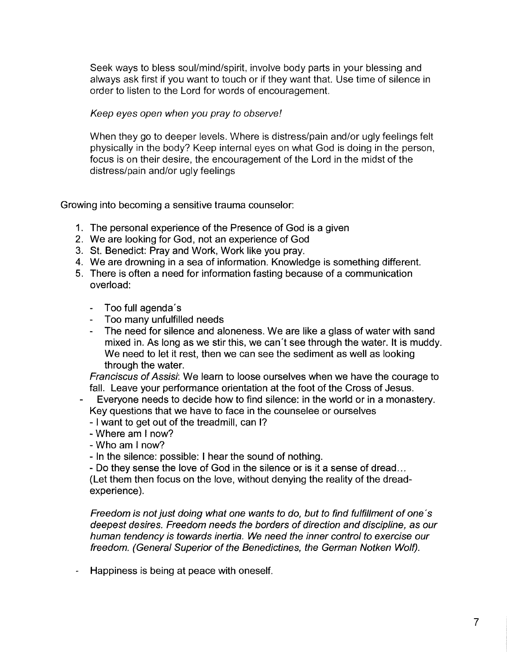Seek ways to bless soul/mind/spirit, involve body parts in your blessing and always ask first if you want to touch or if they want that. Use time of silence in order to listen to the Lord for words of encouragement.

Keep eyes open when you pray to observe!

When they go to deeper levels. Where is distress/pain and/or ugly feelings felt physically in the body? Keep internal eyes on what God is doing in the person, focus is on their desire, the encouragement of the Lord in the midst of the distress/pain and/or ugly feelings

Growing into becoming a sensitive trauma counselor:

- 1. The personal experience of the Presence of God is a given
- 2. We are looking for God, not an experience of God
- 3. St. Benedict: Pray and Work, Work like you pray.
- 4. We are drowning in a sea of information. Knowledge is something different.
- 5. There is often a need for information fasting because of a communication overload:
	- Too full agenda's
	- Too many unfulfilled needs
	- The need for silence and aloneness. We are like a glass of water with sand mixed in. As long as we stir this, we can't see through the water. It is muddy. We need to let it rest, then we can see the sediment as well as looking through the water.

Franciscus of Assisi: We learn to loose ourselves when we have the courage to fall. Leave your performance orientation at the foot of the Cross of Jesus.

- Everyone needs to decide how to find silence: in the world or in a monastery. Key questions that we have to face in the counselee or ourselves
	- I want to get out of the treadmill, can I?
	- Where am I now?
	- Who am I now?
	- In the silence: possible: I hear the sound of nothing.
	- Do they sense the love of God in the silence or is it a sense of dread...

(Let them then focus on the love, without denying the reality of the dreadexperience).

Freedom is not just doing what one wants to do, but to find fulfillment of one's deepest desires. Freedom needs the borders of direction and discipline, as our human tendency is towards inertia. We need the inner control to exercise our freedom. (General Superior of the Benedictines, the German Notken Wolf).

Happiness is being at peace with oneself.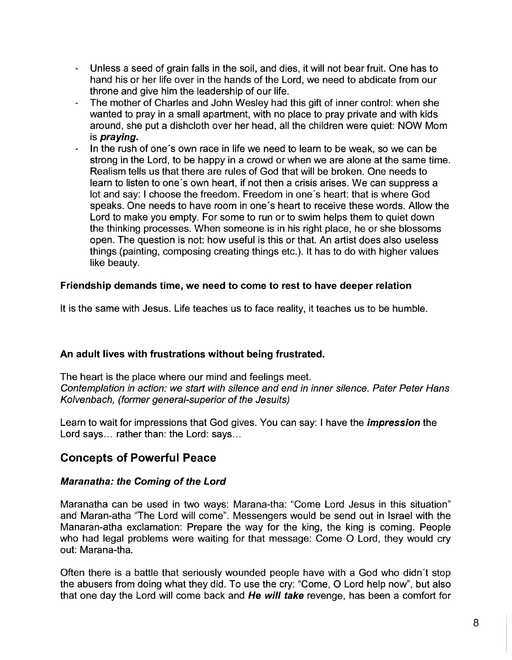- Unless a seed of grain falls in the soil, and dies, it will not bear fruit. One has to  $\overline{a}$ hand his or her life over in the hands of the Lord, we need to abdicate from our throne and give him the leadership of our life.
- The mother of Charles and John Wesley had this gift of inner control: when she wanted to pray in a small apartment, with no place to pray private and with kids around, she put a dishcloth over her head, all the children were quiet: NOW Mom is praying.
- In the rush of one's own race in life we need to learn to be weak, so we can be strong in the Lord, to be happy in a crowd or when we are alone at the same time. Realism tells us that there are rules of God that will be broken. One needs to learn to listen to one's own heart, if not then a crisis arises. We can suppress a lot and say: I choose the freedom. Freedom in one's heart: that is where God speaks. One needs to have room in one's heart to receive these words. Allow the Lord to make you empty. For some to run or to swim helps them to quiet down the thinking processes. When someone is in his right place, he or she blossoms open. The question is not: how useful is this or that. An artist does also useless things (painting, composing creating things etc.). It has to do with higher values like beauty.

# Friendship demands time, we need to come to rest to have deeper relation

It is the same with Jesus. Life teaches us to face reality, it teaches us to be humble.

# An adult lives with frustrations without being frustrated.

The heart is the place where our mind and feelings meet. Contemplation in action: we start with silence and end in inner silence. Pater Peter Hans Kolvenbach, (former general-superior of the Jesuits)

Learn to wait for impressions that God gives. You can say: I have the *impression* the Lord says... rather than: the Lord: says...

# Concepts of Powerful Peace

### Maranatha: the Coming of the Lord

Maranatha can be used in two ways: Marana-tha: "Come Lord Jesus in this situation" and Maran-atha "The Lord will come". Messengers would be send out in Israel with the Manaran-atha exclamation: Prepare the way for the king, the king is coming. People who had legal problems were waiting for that message: Come O Lord, they would cry out: Marana-tha.

Often there is a battle that seriously wounded people have with a God who didn't stop the abusers from doing what they did. To use the cry: "Come, 0 Lord help now", but also that one day the Lord will come back and He will take revenge, has been a comfort for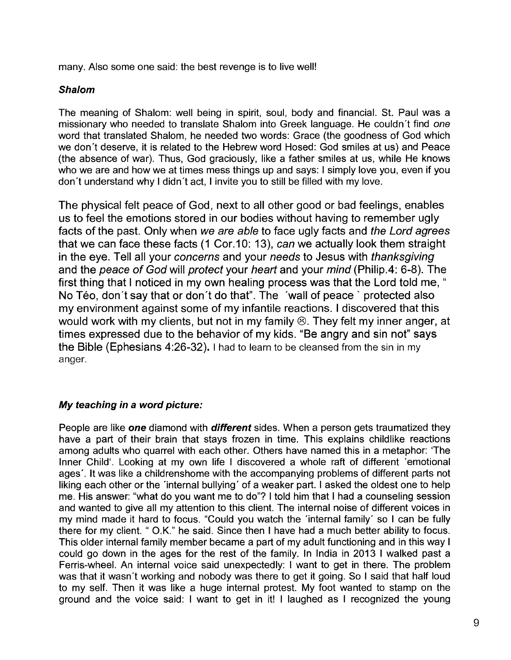many. Also some one said: the best revenge is to live well!

## Shalom

The meaning of Shalom: well being in spirit, soul, body and financial. St. Paul was a missionary who needed to translate Shalom into Greek language. He couldn't find *one*  word that translated Shalom, he needed two words: Grace (the goodness of God which we don't deserve, it is related to the Hebrew word Hosed: God smiles at us) and Peace (the absence of war). Thus, God graciously, like a father smiles at us, while He knows who we are and how we at times mess things up and says: I simply love you, even if you don't understand why I didn't act, I invite you to still be filled with my love.

The physical felt peace of God, next to all other good or bad feelings, enables us to feel the emotions stored in our bodies without having to remember ugly facts of the past. Only when we are able to face ugly facts and the Lord agrees that we can face these facts (1 Cor.10: 13), can we actually look them straight in the eye. Tell all your concerns and your needs to Jesus with thanksgiving and the peace of God will protect your heart and your mind (Philip.4: 6-8). The first thing that I noticed in my own healing process was that the Lord told me, " No Téo, don't say that or don't do that". The 'wall of peace ' protected also my environment against some of my infantile reactions. I discovered that this would work with my clients, but not in my family ®. They felt my inner anger, at times expressed due to the behavior of my kids. "Be angry and sin not" says the Bible (Ephesians 4:26-32). I had to learn to be cleansed from the sin in my anger.

# My teaching in a word picture:

People are like one diamond with different sides. When a person gets traumatized they have a part of their brain that stays frozen in time. This explains childlike reactions among adults who quarrel with each other. Others have named this in a metaphor: The Inner Child'. Looking at my own life I discovered a whole raft of different 'emotional ages'. It was like a childrenshome with the accompanying problems of different parts not liking each other or the 'internal bullying' of a weaker part. I asked the oldest one to help me. His answer: "what do you want me to do"? I told him that I had a counseling session and wanted to give all my attention to this client. The internal noise of different voices in my mind made it hard to focus. "Could you watch the 'internal family' so I can be fully there for my client. " O.K." he said. Since then I have had a much better ability to focus. This older internal family member became a part of my adult functioning and in this way I could go down in the ages for the rest of the family. In India in 2013 I walked past a Ferris-wheel. An internal voice said unexpectedly: I want to get in there. The problem was that it wasn't working and nobody was there to get it going. So I said that half loud to my self. Then it was like a huge internal protest. My foot wanted to stamp on the ground and the voice said: I want to get in it! I laughed as I recognized the young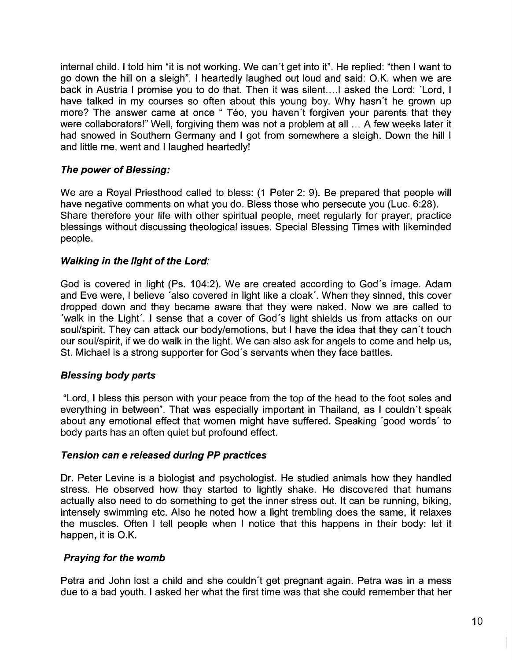internal child. I told him "it is not working. We can't get into it". He replied: "then I want to go down the hill on a sleigh". I heartedly laughed out loud and said: O.K. when we are back in Austria I promise you to do that. Then it was silent.. .. 1 asked the Lord: 'Lord, I have talked in my courses so often about this young boy. Why hasn't he grown up more? The answer came at once " Téo, you haven't forgiven your parents that they were collaborators!" Well, forgiving them was not a problem at all ... A few weeks later it had snowed in Southern Germany and I got from somewhere a sleigh. Down the hill I and little me, went and I laughed heartedly!

## **The power of Blessing:**

We are a Royal Priesthood called to bless: (1 Peter 2: 9). Be prepared that people will have negative comments on what you do. Bless those who persecute you (Luc. 6:28). Share therefore your life with other spiritual people, meet regularly for prayer, practice blessings without discussing theological issues. Special Blessing Times with likeminded people.

## **Walking in the light of the** Lord:

God is covered in light (Ps. 104:2). We are created according to God's image. Adam and Eve were, I believe 'also covered in light like a cloak'. When they sinned, this cover dropped down and they became aware that they were naked. Now we are called to 'walk in the Light'. I sense that a cover of God's light shields us from attacks on our soul/spirit. They can attack our body/emotions, but I have the idea that they can't touch our soul/spirit, if we do walk in the light. We can also ask for angels to come and help us, St. Michael is a strong supporter for God's servants when they face battles.

# **Blessing body parts**

"Lord, I bless this person with your peace from the top of the head to the foot soles and everything in between". That was especially important in Thailand, as I couldn't speak about any emotional effect that women might have suffered. Speaking 'good words' to body parts has an often quiet but profound effect.

### **Tension can e released during PP practices**

Dr. Peter Levine is a biologist and psychologist. He studied animals how they handled stress. He observed how they started to lightly shake. He discovered that humans actually also need to do something to get the inner stress out. It can be running, biking, intensely swimming etc. Also he noted how a light trembling does the same, it relaxes the muscles. Often I tell people when I notice that this happens in their body: let it happen, it is O.K.

### **Praying for the womb**

Petra and John lost a child and she couldn't get pregnant again. Petra was in a mess due to a bad youth. I asked her what the first time was that she could remember that her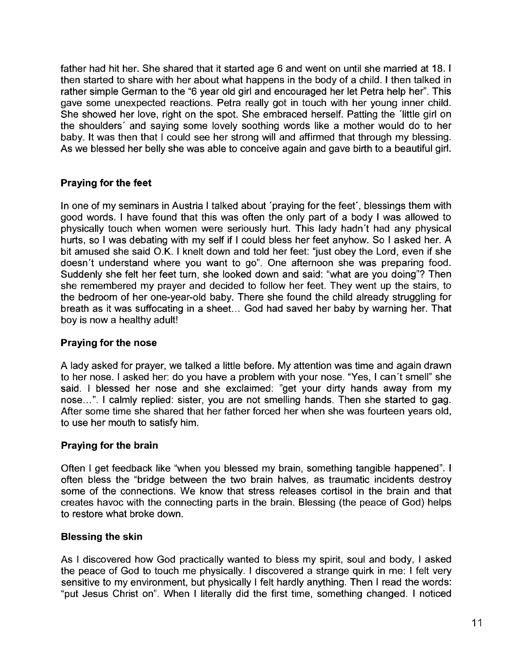father had hit her. She shared that it started age 6 and went on until she married at 18. I then started to share with her about what happens in the body of a child. I then talked in rather simple German to the "6 year old girl and encouraged her let Petra help her". This gave some unexpected reactions. Petra really got in touch with her young inner child. She showed her love, right on the spot. She embraced herself. Patting the 'little girl on the shoulders' and saying some lovely soothing words like a mother would do to her baby. It was then that I could see her strong will and affirmed that through my blessing. As we blessed her belly she was able to conceive again and gave birth to a beautiful girl.

# **Praying for the feet**

In one of my seminars in Austria I talked about 'praying for the feet', blessings them with good words. I have found that this was often the only part of a body I was allowed to physically touch when women were seriously hurt. This lady hadn't had any physical hurts, so I was debating with my self if I could bless her feet anyhow. So I asked her. A bit amused she said O.K. I knelt down and told her feet: "just obey the Lord, even if she doesn't understand where you want to go". One afternoon she was preparing food. Suddenly she felt her feet turn, she looked down and said: "what are you doing"? Then she remembered my prayer and decided to follow her feet. They went up the stairs, to the bedroom of her one-year-old baby. There she found the child already struggling for breath as it was suffocating in a sheet. .. God had saved her baby by warning her. That boy is now a healthy adult!

# **Praying for the nose**

A lady asked for prayer, we talked a little before. My attention was time and again drawn to her nose. I asked her: do you have a problem with your nose. "Yes, I can't smell" she said. I blessed her nose and she exclaimed: "get your dirty hands away from my nose...". I calmly replied: sister, you are not smelling hands. Then she started to gag. After some time she shared that her father forced her when she was fourteen years old, to use her mouth to satisfy him.

# **Praying for the brain**

Often I get feedback like "when you blessed my brain, something tangible happened". I often bless the "bridge between the two brain halves, as traumatic incidents destroy some of the connections. We know that stress releases cortisol in the brain and that creates havoc with the connecting parts in the brain. Blessing (the peace of God) helps to restore what broke down. .

### **Blessing the** skin

As I discovered how God practically wanted to bless my spirit, soul and body, I asked the peace of God to touch me physically. I discovered a strange quirk in me: I felt very sensitive to my environment, but physically I felt hardly anything. Then I read the words: "put Jesus Christ on". When I literally did the first time, something changed. I noticed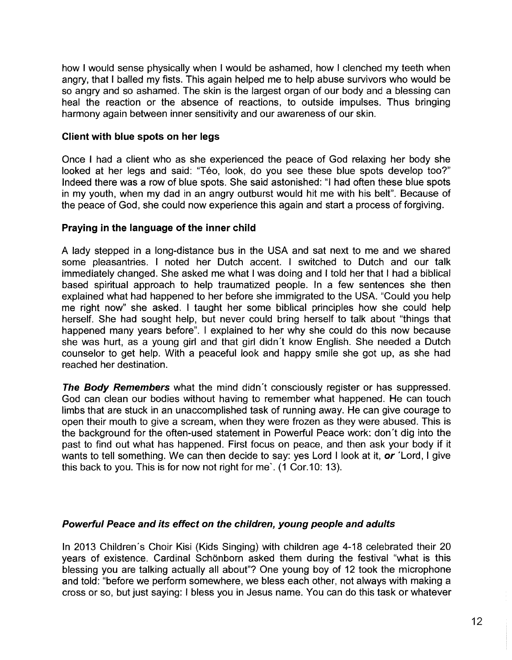how I would sense physically when I would be ashamed, how I clenched my teeth when angry, that I balled my fists. This again helped me to help abuse survivors who would be so angry and so ashamed. The skin is the largest organ of our body and a blessing can heal the reaction or the absence of reactions, to outside impulses. Thus bringing harmony again between inner sensitivity and our awareness of our skin.

### **Client with blue spots on her legs**

Once I had a client who as she experienced the peace of God relaxing her body she looked at her legs and said: "Téo, look, do you see these blue spots develop too?" Indeed there was a row of blue spots. She said astonished: "I had often these blue spots in my youth, when my dad in an angry outburst would hit me with his belt". Because of the peace of God, she could now experience this again and start a process of forgiving.

## **Praying in the language of the inner child**

A lady stepped in a long-distance bus in the USA and sat next to me and we shared some pleasantries. I noted her Dutch accent. I switched to Dutch and our talk immediately changed. She asked me what I was doing and I told her that I had a biblical based spiritual approach to help traumatized people. In a few sentences she then explained what had happened to her before she immigrated to the USA. "Could you help me right now" she asked. I taught her some biblical principles how she could help herself. She had sought help, but never could bring herself to talk about "things that happened many years before". I explained to her why she could do this now because she was hurt, as a young girl and that girl didn't know English. She needed a Dutch counselor to get help. With a peaceful look and happy smile she got up, as she had reached her destination.

**The Body Remembers** what the mind didn't consciously register or has suppressed. God can clean our bodies without having to remember what happened. He can touch limbs that are stuck in an unaccomplished task of running away. He can give courage to open their mouth to give a scream, when they were frozen as they were abused. This is the background for the often-used statement in Powerful Peace work: don't dig into the past to find out what has happened. First focus on peace, and then ask your body if it wants to tell something. We can then decide to say: yes Lord I look at it, **or** 'Lord, I give this back to you. This is for now not right for me'. (1 Cor.10: 13).

### **Powerful Peace and its effect on the children, young people and adults**

In 2013 Children's Choir Kisi (Kids Singing) with children age 4-18 celebrated their 20 years of existence. Cardinal Schönborn asked them during the festival "what is this blessing you are talking actually all about"? One young boy of 12 took the microphone and told: "before we perform somewhere, we bless each other, not always with making a cross or so, but just saying: I bless you in Jesus name. You can do this task or whatever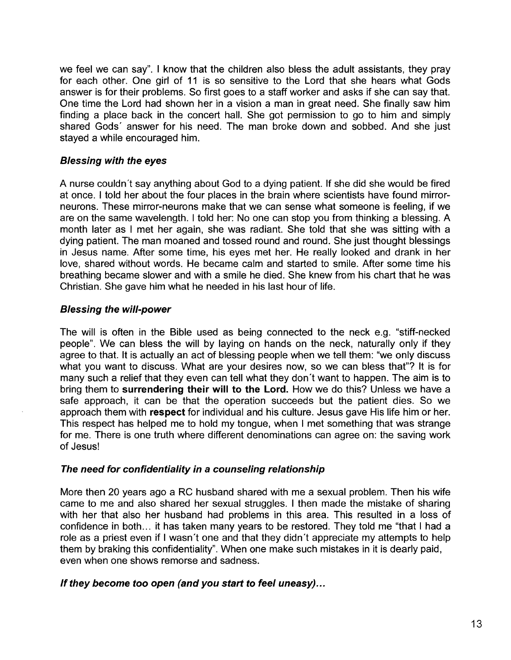we feel we can say". I know that the children also bless the adult assistants, they pray for each other. One girl of 11 is so sensitive to the Lord that she hears what Gods answer is for their problems. So first goes to a staff worker and asks if she can say that. One time the Lord had shown her in a vision a man in great need. She finally saw him finding a place back in the concert hall. She got permission to go to him and simply shared Gods' answer for his need. The man broke down and sobbed. And she just stayed a while encouraged him.

### Blessing with the eyes

A nurse couldn't say anything about God to a dying patient. If she did she would be fired at once. I told her about the four places in the brain where scientists have found mirrorneurons. These mirror-neurons make that we can sense what someone is feeling, if we are on the same wavelength. I told her: No one can stop you from thinking a blessing. A month later as I met her again, she was radiant. She told that she was sitting with a dying patient. The man moaned and tossed round and round. She just thought blessings in Jesus name. After some time, his eyes met her. He really looked and drank in her love, shared without words. He became calm and started to smile. After some time his breathing became slower and with a smile he died. She knew from his chart that he was Christian. She gave him what he needed in his last hour of life.

## Blessing the will-power

The will is often in the Bible used as being connected to the neck e.g. "stiff-necked people". We can bless the will by laying on hands on the neck, naturally only if they agree to that. It is actually an act of blessing people when we tell them: "we only discuss what you want to discuss. What are your desires now, so we can bless that"? It is for many such a relief that they even can tell what they don't want to happen. The aim is to bring them to surrendering their will to the Lord. How we do this? Unless we have a safe approach, it can be that the operation succeeds but the patient dies. So we approach them with respect for individual and his culture. Jesus gave His life him or her. This respect has helped me to hold my tongue, when I met something that was strange for me. There is one truth where different denominations can agree on: the saving work of Jesus!

### The need for confidentiality in a counseling relationship

More then 20 years ago a RC husband shared with me a sexual problem. Then his wife came to me and also shared her sexual struggles. I then made the mistake of sharing with her that also her husband had problems in this area. This resulted in a loss of confidence in both... it has taken many years to be restored. They told me "that I had a role as a priest even if I wasn't one and that they didn't appreciate my attempts to help them by braking this confidentiality". When one make such mistakes in it is dearly paid, even when one shows remorse and sadness.

### If they become too open (and you start to feel uneasy) ...